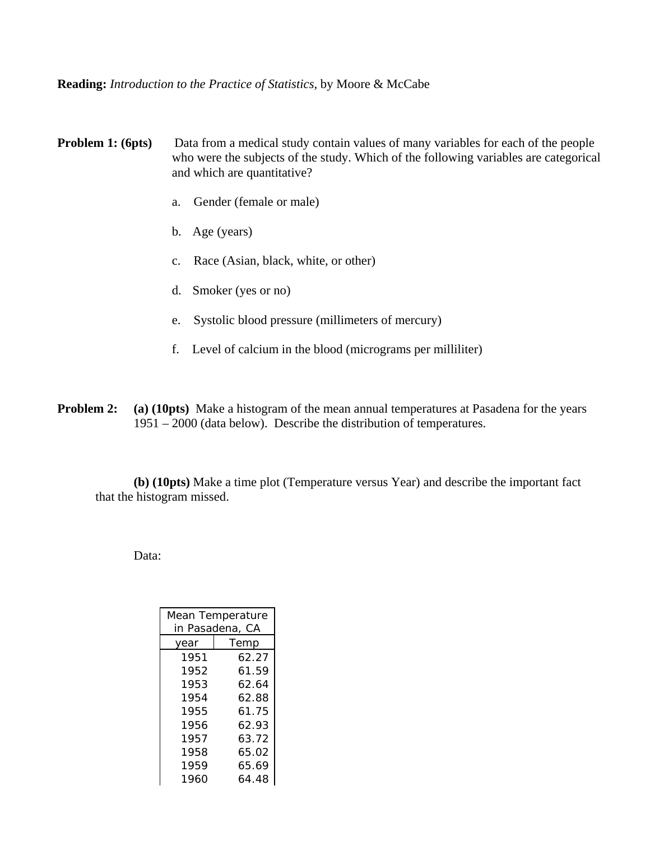**Reading:** *Introduction to the Practice of Statistics,* by Moore & McCabe

**Problem 1: (6pts)** Data from a medical study contain values of many variables for each of the people who were the subjects of the study. Which of the following variables are categorical and which are quantitative?

- a. Gender (female or male)
- b. Age (years)
- c. Race (Asian, black, white, or other)
- d. Smoker (yes or no)
- e. Systolic blood pressure (millimeters of mercury)
- f. Level of calcium in the blood (micrograms per milliliter)
- **Problem 2:** (a) (10pts) Make a histogram of the mean annual temperatures at Pasadena for the years 1951 – 2000 (data below). Describe the distribution of temperatures.

**(b) (10pts)** Make a time plot (Temperature versus Year) and describe the important fact that the histogram missed.

Data:

| Mean Temperature |       |  |  |  |
|------------------|-------|--|--|--|
| in Pasadena, CA  |       |  |  |  |
| year             | Temp  |  |  |  |
| 1951             | 62.27 |  |  |  |
| 1952             | 61.59 |  |  |  |
| 1953             | 62.64 |  |  |  |
| 1954             | 62.88 |  |  |  |
| 1955             | 61.75 |  |  |  |
| 1956             | 62.93 |  |  |  |
| 1957             | 63.72 |  |  |  |
| 1958             | 65.02 |  |  |  |
| 1959             | 65.69 |  |  |  |
| 1960             | 64.48 |  |  |  |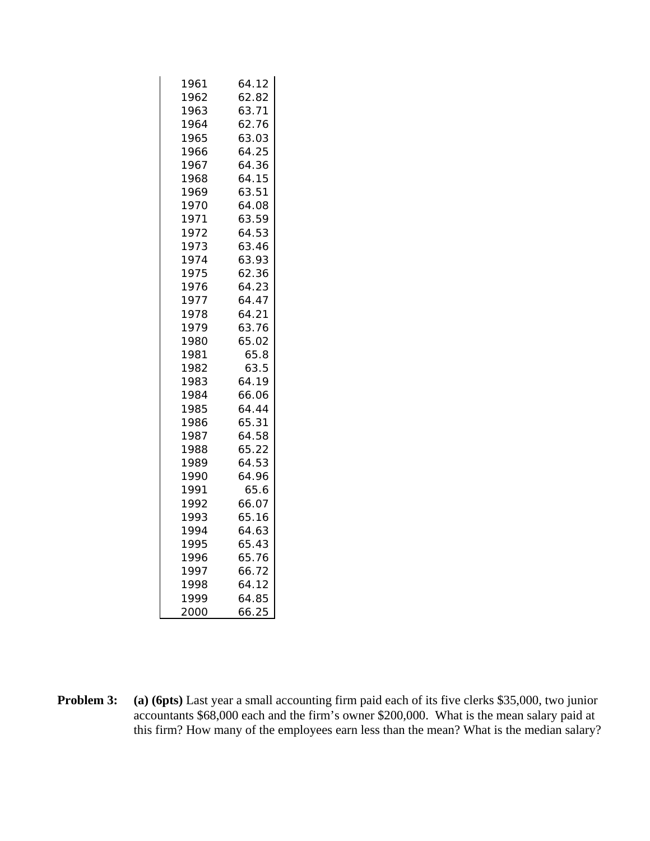| 1961 | 64.12 |  |  |
|------|-------|--|--|
| 1962 | 62.82 |  |  |
| 1963 | 63.71 |  |  |
| 1964 | 62.76 |  |  |
| 1965 | 63.03 |  |  |
| 1966 | 64.25 |  |  |
| 1967 | 64.36 |  |  |
| 1968 | 64.15 |  |  |
| 1969 | 63.51 |  |  |
| 1970 | 64.08 |  |  |
| 1971 | 63.59 |  |  |
| 1972 | 64.53 |  |  |
| 1973 | 63.46 |  |  |
| 1974 | 63.93 |  |  |
| 1975 | 62.36 |  |  |
| 1976 | 64.23 |  |  |
| 1977 | 64.47 |  |  |
| 1978 | 64.21 |  |  |
| 1979 | 63.76 |  |  |
| 1980 | 65.02 |  |  |
| 1981 | 65.8  |  |  |
| 1982 | 63.5  |  |  |
| 1983 | 64.19 |  |  |
| 1984 | 66.06 |  |  |
| 1985 | 64.44 |  |  |
| 1986 | 65.31 |  |  |
| 1987 | 64.58 |  |  |
| 1988 | 65.22 |  |  |
| 1989 | 64.53 |  |  |
| 1990 | 64.96 |  |  |
| 1991 | 65.6  |  |  |
| 1992 | 66.07 |  |  |
| 1993 | 65.16 |  |  |
| 1994 | 64.63 |  |  |
| 1995 | 65.43 |  |  |
| 1996 | 65.76 |  |  |
| 1997 | 66.72 |  |  |
| 1998 | 64.12 |  |  |
| 1999 | 64.85 |  |  |
| 2000 | 66.25 |  |  |

**Problem 3:** (a) (6pts) Last year a small accounting firm paid each of its five clerks \$35,000, two junior accountants \$68,000 each and the firm's owner \$200,000. What is the mean salary paid at this firm? How many of the employees earn less than the mean? What is the median salary?